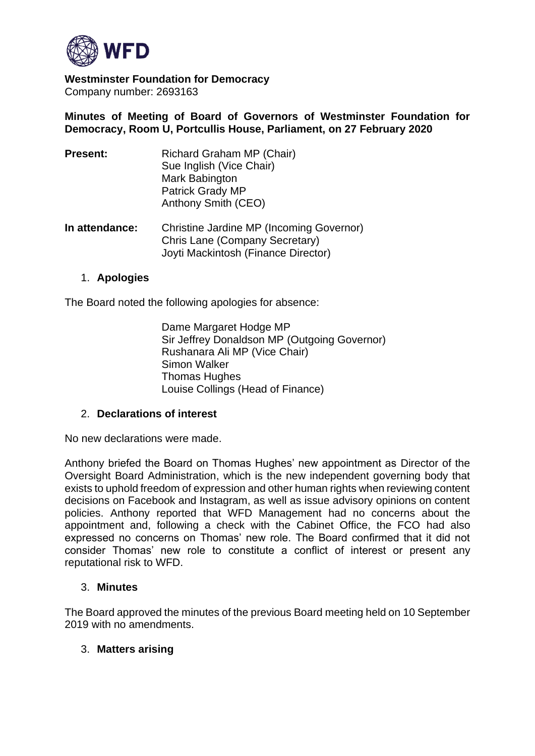

**Westminster Foundation for Democracy** Company number: 2693163

**Minutes of Meeting of Board of Governors of Westminster Foundation for Democracy, Room U, Portcullis House, Parliament, on 27 February 2020**

Joyti Mackintosh (Finance Director)

| <b>Present:</b> | Richard Graham MP (Chair)<br>Sue Inglish (Vice Chair)<br>Mark Babington<br>Patrick Grady MP<br>Anthony Smith (CEO) |
|-----------------|--------------------------------------------------------------------------------------------------------------------|
| In attendance:  | Christine Jardine MP (Incoming Governor)<br>Chris Lane (Company Secretary)                                         |

## 1. **Apologies**

The Board noted the following apologies for absence:

Dame Margaret Hodge MP Sir Jeffrey Donaldson MP (Outgoing Governor) Rushanara Ali MP (Vice Chair) Simon Walker Thomas Hughes Louise Collings (Head of Finance)

#### 2. **Declarations of interest**

No new declarations were made.

Anthony briefed the Board on Thomas Hughes' new appointment as Director of the Oversight Board Administration, which is the new independent governing body that exists to uphold freedom of expression and other human rights when reviewing content decisions on Facebook and Instagram, as well as issue advisory opinions on content policies. Anthony reported that WFD Management had no concerns about the appointment and, following a check with the Cabinet Office, the FCO had also expressed no concerns on Thomas' new role. The Board confirmed that it did not consider Thomas' new role to constitute a conflict of interest or present any reputational risk to WFD.

#### 3. **Minutes**

The Board approved the minutes of the previous Board meeting held on 10 September 2019 with no amendments.

#### 3. **Matters arising**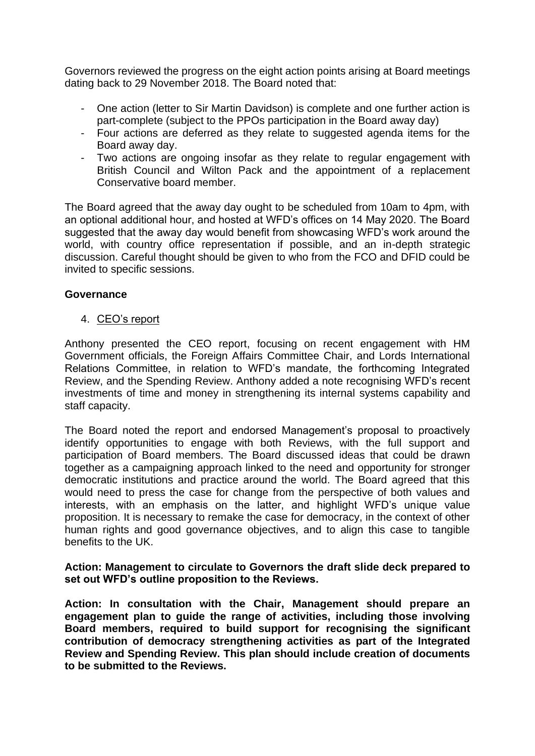Governors reviewed the progress on the eight action points arising at Board meetings dating back to 29 November 2018. The Board noted that:

- One action (letter to Sir Martin Davidson) is complete and one further action is part-complete (subject to the PPOs participation in the Board away day)
- Four actions are deferred as they relate to suggested agenda items for the Board away day.
- Two actions are ongoing insofar as they relate to regular engagement with British Council and Wilton Pack and the appointment of a replacement Conservative board member.

The Board agreed that the away day ought to be scheduled from 10am to 4pm, with an optional additional hour, and hosted at WFD's offices on 14 May 2020. The Board suggested that the away day would benefit from showcasing WFD's work around the world, with country office representation if possible, and an in-depth strategic discussion. Careful thought should be given to who from the FCO and DFID could be invited to specific sessions.

## **Governance**

4. CEO's report

Anthony presented the CEO report, focusing on recent engagement with HM Government officials, the Foreign Affairs Committee Chair, and Lords International Relations Committee, in relation to WFD's mandate, the forthcoming Integrated Review, and the Spending Review. Anthony added a note recognising WFD's recent investments of time and money in strengthening its internal systems capability and staff capacity.

The Board noted the report and endorsed Management's proposal to proactively identify opportunities to engage with both Reviews, with the full support and participation of Board members. The Board discussed ideas that could be drawn together as a campaigning approach linked to the need and opportunity for stronger democratic institutions and practice around the world. The Board agreed that this would need to press the case for change from the perspective of both values and interests, with an emphasis on the latter, and highlight WFD's unique value proposition. It is necessary to remake the case for democracy, in the context of other human rights and good governance objectives, and to align this case to tangible benefits to the UK.

#### **Action: Management to circulate to Governors the draft slide deck prepared to set out WFD's outline proposition to the Reviews.**

**Action: In consultation with the Chair, Management should prepare an engagement plan to guide the range of activities, including those involving Board members, required to build support for recognising the significant contribution of democracy strengthening activities as part of the Integrated Review and Spending Review. This plan should include creation of documents to be submitted to the Reviews.**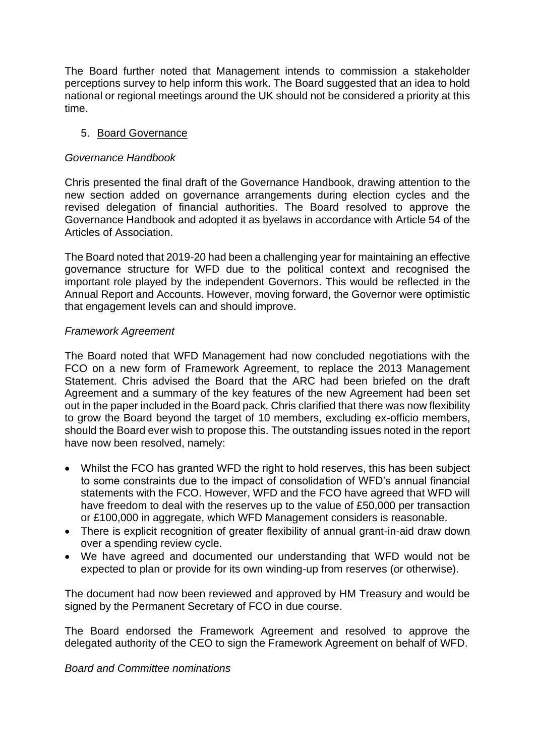The Board further noted that Management intends to commission a stakeholder perceptions survey to help inform this work. The Board suggested that an idea to hold national or regional meetings around the UK should not be considered a priority at this time.

## 5. Board Governance

## *Governance Handbook*

Chris presented the final draft of the Governance Handbook, drawing attention to the new section added on governance arrangements during election cycles and the revised delegation of financial authorities. The Board resolved to approve the Governance Handbook and adopted it as byelaws in accordance with Article 54 of the Articles of Association.

The Board noted that 2019-20 had been a challenging year for maintaining an effective governance structure for WFD due to the political context and recognised the important role played by the independent Governors. This would be reflected in the Annual Report and Accounts. However, moving forward, the Governor were optimistic that engagement levels can and should improve.

#### *Framework Agreement*

The Board noted that WFD Management had now concluded negotiations with the FCO on a new form of Framework Agreement, to replace the 2013 Management Statement. Chris advised the Board that the ARC had been briefed on the draft Agreement and a summary of the key features of the new Agreement had been set out in the paper included in the Board pack. Chris clarified that there was now flexibility to grow the Board beyond the target of 10 members, excluding ex-officio members, should the Board ever wish to propose this. The outstanding issues noted in the report have now been resolved, namely:

- Whilst the FCO has granted WFD the right to hold reserves, this has been subject to some constraints due to the impact of consolidation of WFD's annual financial statements with the FCO. However, WFD and the FCO have agreed that WFD will have freedom to deal with the reserves up to the value of £50,000 per transaction or £100,000 in aggregate, which WFD Management considers is reasonable.
- There is explicit recognition of greater flexibility of annual grant-in-aid draw down over a spending review cycle.
- We have agreed and documented our understanding that WFD would not be expected to plan or provide for its own winding-up from reserves (or otherwise).

The document had now been reviewed and approved by HM Treasury and would be signed by the Permanent Secretary of FCO in due course.

The Board endorsed the Framework Agreement and resolved to approve the delegated authority of the CEO to sign the Framework Agreement on behalf of WFD.

## *Board and Committee nominations*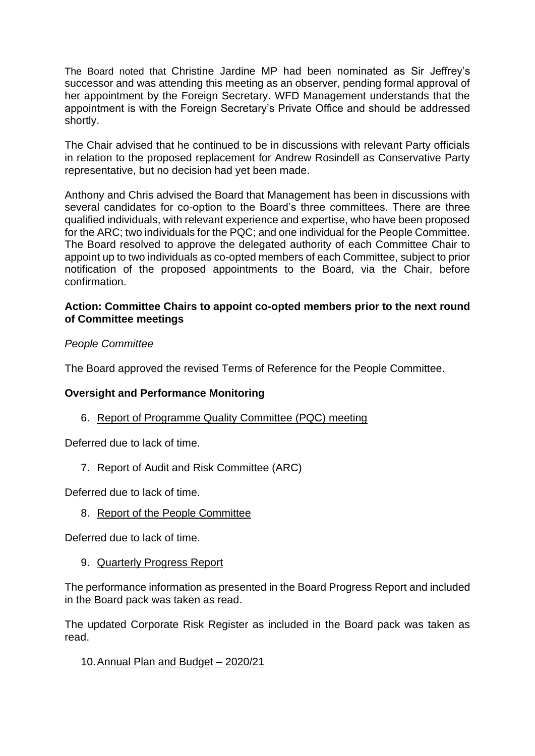The Board noted that Christine Jardine MP had been nominated as Sir Jeffrey's successor and was attending this meeting as an observer, pending formal approval of her appointment by the Foreign Secretary. WFD Management understands that the appointment is with the Foreign Secretary's Private Office and should be addressed shortly.

The Chair advised that he continued to be in discussions with relevant Party officials in relation to the proposed replacement for Andrew Rosindell as Conservative Party representative, but no decision had yet been made.

Anthony and Chris advised the Board that Management has been in discussions with several candidates for co-option to the Board's three committees. There are three qualified individuals, with relevant experience and expertise, who have been proposed for the ARC; two individuals for the PQC; and one individual for the People Committee. The Board resolved to approve the delegated authority of each Committee Chair to appoint up to two individuals as co-opted members of each Committee, subject to prior notification of the proposed appointments to the Board, via the Chair, before confirmation.

## **Action: Committee Chairs to appoint co-opted members prior to the next round of Committee meetings**

## *People Committee*

The Board approved the revised Terms of Reference for the People Committee.

## **Oversight and Performance Monitoring**

## 6. Report of Programme Quality Committee (PQC) meeting

Deferred due to lack of time.

## 7. Report of Audit and Risk Committee (ARC)

Deferred due to lack of time.

8. Report of the People Committee

Deferred due to lack of time.

9. Quarterly Progress Report

The performance information as presented in the Board Progress Report and included in the Board pack was taken as read.

The updated Corporate Risk Register as included in the Board pack was taken as read.

## 10.Annual Plan and Budget – 2020/21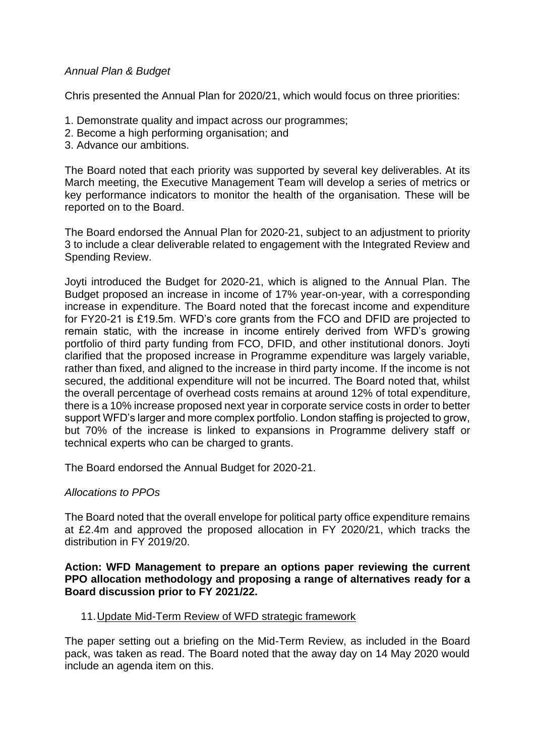## *Annual Plan & Budget*

Chris presented the Annual Plan for 2020/21, which would focus on three priorities:

- 1. Demonstrate quality and impact across our programmes;
- 2. Become a high performing organisation; and
- 3. Advance our ambitions.

The Board noted that each priority was supported by several key deliverables. At its March meeting, the Executive Management Team will develop a series of metrics or key performance indicators to monitor the health of the organisation. These will be reported on to the Board.

The Board endorsed the Annual Plan for 2020-21, subject to an adjustment to priority 3 to include a clear deliverable related to engagement with the Integrated Review and Spending Review.

Joyti introduced the Budget for 2020-21, which is aligned to the Annual Plan. The Budget proposed an increase in income of 17% year-on-year, with a corresponding increase in expenditure. The Board noted that the forecast income and expenditure for FY20-21 is £19.5m. WFD's core grants from the FCO and DFID are projected to remain static, with the increase in income entirely derived from WFD's growing portfolio of third party funding from FCO, DFID, and other institutional donors. Joyti clarified that the proposed increase in Programme expenditure was largely variable, rather than fixed, and aligned to the increase in third party income. If the income is not secured, the additional expenditure will not be incurred. The Board noted that, whilst the overall percentage of overhead costs remains at around 12% of total expenditure, there is a 10% increase proposed next year in corporate service costs in order to better support WFD's larger and more complex portfolio. London staffing is projected to grow, but 70% of the increase is linked to expansions in Programme delivery staff or technical experts who can be charged to grants.

The Board endorsed the Annual Budget for 2020-21.

## *Allocations to PPOs*

The Board noted that the overall envelope for political party office expenditure remains at £2.4m and approved the proposed allocation in FY 2020/21, which tracks the distribution in FY 2019/20.

#### **Action: WFD Management to prepare an options paper reviewing the current PPO allocation methodology and proposing a range of alternatives ready for a Board discussion prior to FY 2021/22.**

## 11.Update Mid-Term Review of WFD strategic framework

The paper setting out a briefing on the Mid-Term Review, as included in the Board pack, was taken as read. The Board noted that the away day on 14 May 2020 would include an agenda item on this.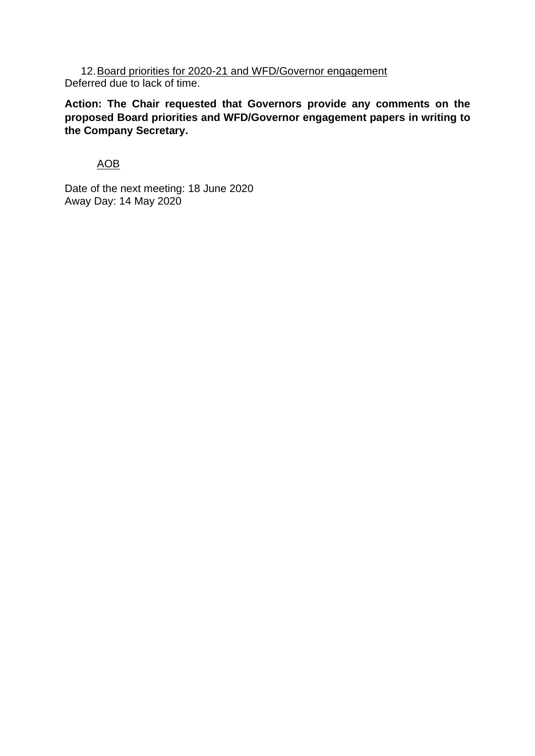12.Board priorities for 2020-21 and WFD/Governor engagement Deferred due to lack of time.

**Action: The Chair requested that Governors provide any comments on the proposed Board priorities and WFD/Governor engagement papers in writing to the Company Secretary.**

## AOB

Date of the next meeting: 18 June 2020 Away Day: 14 May 2020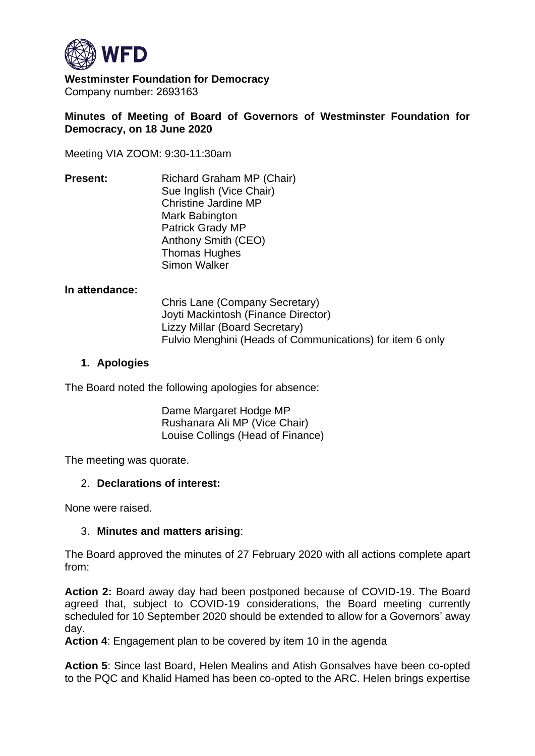

**Westminster Foundation for Democracy** Company number: 2693163 

## **Minutes of Meeting of Board of Governors of Westminster Foundation for Democracy, on 18 June 2020**

Meeting VIA ZOOM: 9:30-11:30am

**Present:**      Richard Graham MP (Chair) Sue Inglish (Vice Chair) Christine Jardine MP Mark Babington Patrick Grady MP Anthony Smith (CEO) Thomas Hughes Simon Walker

#### **In attendance:**

Chris Lane (Company Secretary) Joyti Mackintosh (Finance Director) Lizzy Millar (Board Secretary) Fulvio Menghini (Heads of Communications) for item 6 only

## **1. Apologies**

The Board noted the following apologies for absence:

Dame Margaret Hodge MP Rushanara Ali MP (Vice Chair) Louise Collings (Head of Finance)

The meeting was quorate.

## 2. **Declarations of interest:**

None were raised.

## 3. **Minutes and matters arising**:

The Board approved the minutes of 27 February 2020 with all actions complete apart from:

**Action 2:** Board away day had been postponed because of COVID-19. The Board agreed that, subject to COVID-19 considerations, the Board meeting currently scheduled for 10 September 2020 should be extended to allow for a Governors' away day.

**Action 4**: Engagement plan to be covered by item 10 in the agenda

**Action 5**: Since last Board, Helen Mealins and Atish Gonsalves have been co-opted to the PQC and Khalid Hamed has been co-opted to the ARC. Helen brings expertise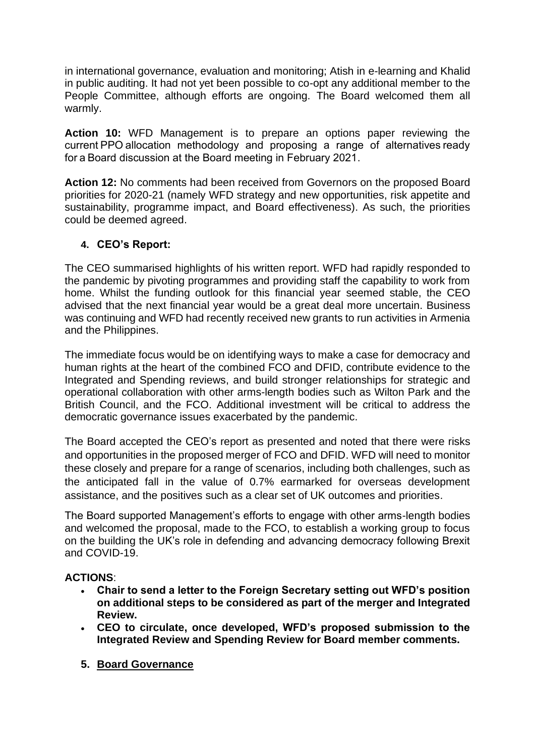in international governance, evaluation and monitoring; Atish in e-learning and Khalid in public auditing. It had not yet been possible to co-opt any additional member to the People Committee, although efforts are ongoing. The Board welcomed them all warmly.

**Action 10:** WFD Management is to prepare an options paper reviewing the current PPO allocation methodology and proposing a range of alternatives ready for a Board discussion at the Board meeting in February 2021.

**Action 12:** No comments had been received from Governors on the proposed Board priorities for 2020-21 (namely WFD strategy and new opportunities, risk appetite and sustainability, programme impact, and Board effectiveness). As such, the priorities could be deemed agreed.

## **4. CEO's Report:**

The CEO summarised highlights of his written report. WFD had rapidly responded to the pandemic by pivoting programmes and providing staff the capability to work from home. Whilst the funding outlook for this financial year seemed stable, the CEO advised that the next financial year would be a great deal more uncertain. Business was continuing and WFD had recently received new grants to run activities in Armenia and the Philippines.

The immediate focus would be on identifying ways to make a case for democracy and human rights at the heart of the combined FCO and DFID, contribute evidence to the Integrated and Spending reviews, and build stronger relationships for strategic and operational collaboration with other arms-length bodies such as Wilton Park and the British Council, and the FCO. Additional investment will be critical to address the democratic governance issues exacerbated by the pandemic.

The Board accepted the CEO's report as presented and noted that there were risks and opportunities in the proposed merger of FCO and DFID. WFD will need to monitor these closely and prepare for a range of scenarios, including both challenges, such as the anticipated fall in the value of 0.7% earmarked for overseas development assistance, and the positives such as a clear set of UK outcomes and priorities.

The Board supported Management's efforts to engage with other arms-length bodies and welcomed the proposal, made to the FCO, to establish a working group to focus on the building the UK's role in defending and advancing democracy following Brexit and COVID-19.

## **ACTIONS**:

- **Chair to send a letter to the Foreign Secretary setting out WFD's position on additional steps to be considered as part of the merger and Integrated Review.**
- **CEO to circulate, once developed, WFD's proposed submission to the Integrated Review and Spending Review for Board member comments.**
- **5. Board Governance**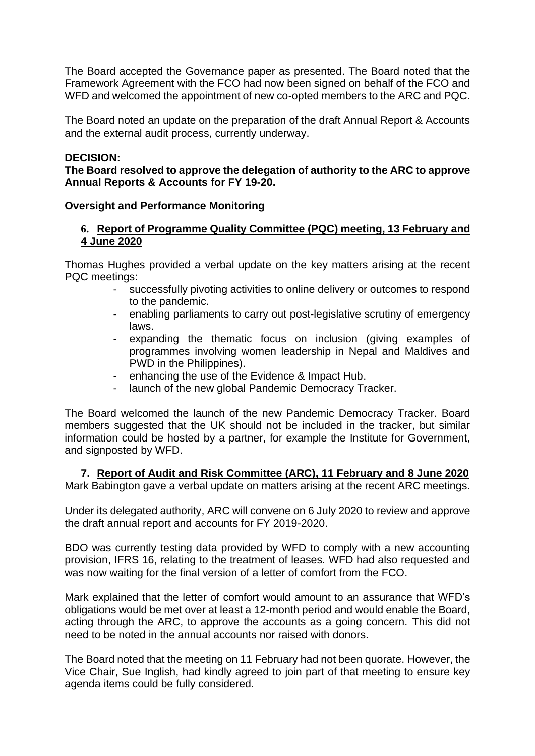The Board accepted the Governance paper as presented. The Board noted that the Framework Agreement with the FCO had now been signed on behalf of the FCO and WFD and welcomed the appointment of new co-opted members to the ARC and PQC.

The Board noted an update on the preparation of the draft Annual Report & Accounts and the external audit process, currently underway.

#### **DECISION:**

**The Board resolved to approve the delegation of authority to the ARC to approve Annual Reports & Accounts for FY 19-20.**

#### **Oversight and Performance Monitoring**

## **6. Report of Programme Quality Committee (PQC) meeting, 13 February and 4 June 2020**

Thomas Hughes provided a verbal update on the key matters arising at the recent PQC meetings:

- successfully pivoting activities to online delivery or outcomes to respond to the pandemic.
- enabling parliaments to carry out post-legislative scrutiny of emergency laws.
- expanding the thematic focus on inclusion (giving examples of programmes involving women leadership in Nepal and Maldives and PWD in the Philippines).
- enhancing the use of the Evidence & Impact Hub.
- launch of the new global Pandemic Democracy Tracker.

The Board welcomed the launch of the new Pandemic Democracy Tracker. Board members suggested that the UK should not be included in the tracker, but similar information could be hosted by a partner, for example the Institute for Government, and signposted by WFD.

# **7. Report of Audit and Risk Committee (ARC), 11 February and 8 June 2020**

Mark Babington gave a verbal update on matters arising at the recent ARC meetings.

Under its delegated authority, ARC will convene on 6 July 2020 to review and approve the draft annual report and accounts for FY 2019-2020.

BDO was currently testing data provided by WFD to comply with a new accounting provision, IFRS 16, relating to the treatment of leases. WFD had also requested and was now waiting for the final version of a letter of comfort from the FCO.

Mark explained that the letter of comfort would amount to an assurance that WFD's obligations would be met over at least a 12-month period and would enable the Board, acting through the ARC, to approve the accounts as a going concern. This did not need to be noted in the annual accounts nor raised with donors.

The Board noted that the meeting on 11 February had not been quorate. However, the Vice Chair, Sue Inglish, had kindly agreed to join part of that meeting to ensure key agenda items could be fully considered.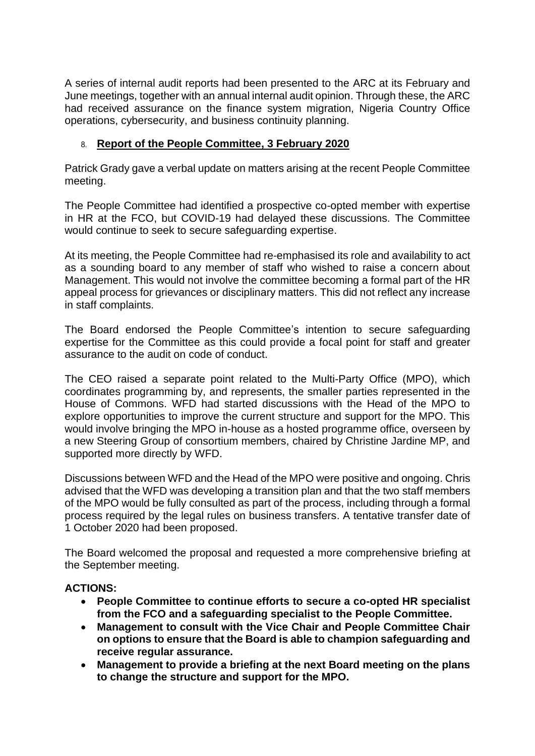A series of internal audit reports had been presented to the ARC at its February and June meetings, together with an annual internal audit opinion. Through these, the ARC had received assurance on the finance system migration, Nigeria Country Office operations, cybersecurity, and business continuity planning.

# 8. **Report of the People Committee, 3 February 2020**

Patrick Grady gave a verbal update on matters arising at the recent People Committee meeting.

The People Committee had identified a prospective co-opted member with expertise in HR at the FCO, but COVID-19 had delayed these discussions. The Committee would continue to seek to secure safeguarding expertise.

At its meeting, the People Committee had re-emphasised its role and availability to act as a sounding board to any member of staff who wished to raise a concern about Management. This would not involve the committee becoming a formal part of the HR appeal process for grievances or disciplinary matters. This did not reflect any increase in staff complaints.

The Board endorsed the People Committee's intention to secure safeguarding expertise for the Committee as this could provide a focal point for staff and greater assurance to the audit on code of conduct.

The CEO raised a separate point related to the Multi-Party Office (MPO), which coordinates programming by, and represents, the smaller parties represented in the House of Commons. WFD had started discussions with the Head of the MPO to explore opportunities to improve the current structure and support for the MPO. This would involve bringing the MPO in-house as a hosted programme office, overseen by a new Steering Group of consortium members, chaired by Christine Jardine MP, and supported more directly by WFD.

Discussions between WFD and the Head of the MPO were positive and ongoing. Chris advised that the WFD was developing a transition plan and that the two staff members of the MPO would be fully consulted as part of the process, including through a formal process required by the legal rules on business transfers. A tentative transfer date of 1 October 2020 had been proposed.

The Board welcomed the proposal and requested a more comprehensive briefing at the September meeting.

## **ACTIONS:**

- **People Committee to continue efforts to secure a co-opted HR specialist from the FCO and a safeguarding specialist to the People Committee.**
- **Management to consult with the Vice Chair and People Committee Chair on options to ensure that the Board is able to champion safeguarding and receive regular assurance.**
- **Management to provide a briefing at the next Board meeting on the plans to change the structure and support for the MPO.**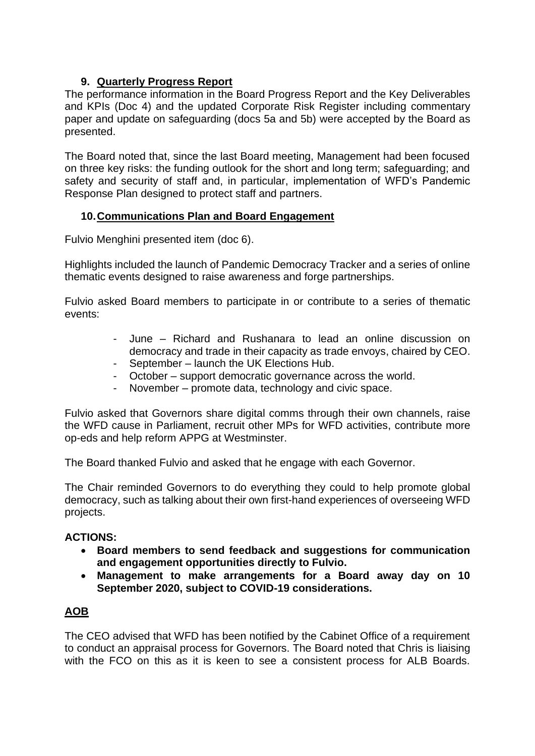# **9. Quarterly Progress Report**

The performance information in the Board Progress Report and the Key Deliverables and KPIs (Doc 4) and the updated Corporate Risk Register including commentary paper and update on safeguarding (docs 5a and 5b) were accepted by the Board as presented.

The Board noted that, since the last Board meeting, Management had been focused on three key risks: the funding outlook for the short and long term; safeguarding; and safety and security of staff and, in particular, implementation of WFD's Pandemic Response Plan designed to protect staff and partners.

# **10.Communications Plan and Board Engagement**

Fulvio Menghini presented item (doc 6).

Highlights included the launch of Pandemic Democracy Tracker and a series of online thematic events designed to raise awareness and forge partnerships.

Fulvio asked Board members to participate in or contribute to a series of thematic events:

- June Richard and Rushanara to lead an online discussion on democracy and trade in their capacity as trade envoys, chaired by CEO.
- September launch the UK Elections Hub.
- October support democratic governance across the world.<br>- November promote data. technology and civic space.
- November promote data, technology and civic space.

Fulvio asked that Governors share digital comms through their own channels, raise the WFD cause in Parliament, recruit other MPs for WFD activities, contribute more op-eds and help reform APPG at Westminster.

The Board thanked Fulvio and asked that he engage with each Governor.

The Chair reminded Governors to do everything they could to help promote global democracy, such as talking about their own first-hand experiences of overseeing WFD projects.

## **ACTIONS:**

- **Board members to send feedback and suggestions for communication and engagement opportunities directly to Fulvio.**
- **Management to make arrangements for a Board away day on 10 September 2020, subject to COVID-19 considerations.**

## **AOB**

The CEO advised that WFD has been notified by the Cabinet Office of a requirement to conduct an appraisal process for Governors. The Board noted that Chris is liaising with the FCO on this as it is keen to see a consistent process for ALB Boards.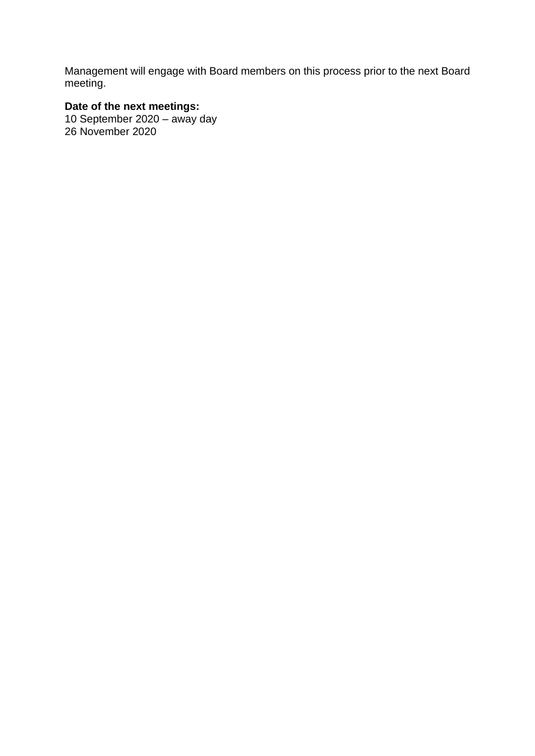Management will engage with Board members on this process prior to the next Board meeting.

# **Date of the next meetings:**

10 September 2020 – away day 26 November 2020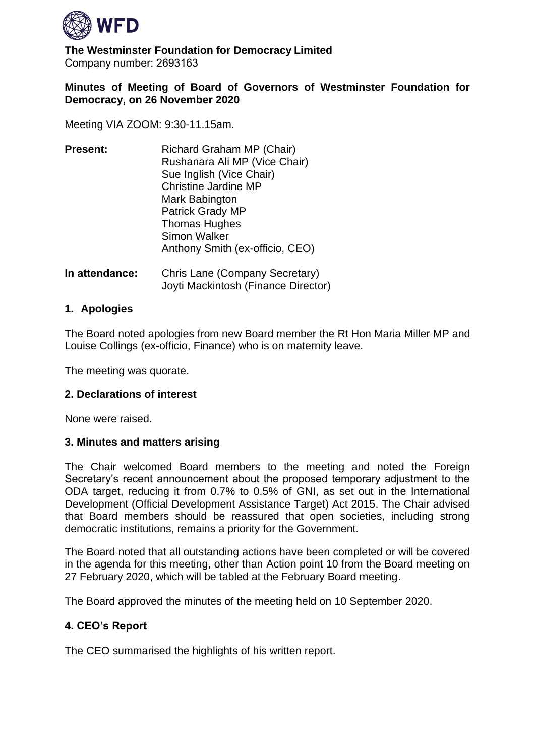

**The Westminster Foundation for Democracy Limited** Company number: 2693163 

## **Minutes of Meeting of Board of Governors of Westminster Foundation for Democracy, on 26 November 2020**

Meeting VIA ZOOM: 9:30-11.15am.

| <b>Present:</b> | Richard Graham MP (Chair)<br>Rushanara Ali MP (Vice Chair)<br>Sue Inglish (Vice Chair)<br><b>Christine Jardine MP</b><br>Mark Babington<br><b>Patrick Grady MP</b><br><b>Thomas Hughes</b><br><b>Simon Walker</b> |
|-----------------|-------------------------------------------------------------------------------------------------------------------------------------------------------------------------------------------------------------------|
|                 | Anthony Smith (ex-officio, CEO)                                                                                                                                                                                   |

**In attendance:** Chris Lane (Company Secretary) Joyti Mackintosh (Finance Director)

#### **1. Apologies**

The Board noted apologies from new Board member the Rt Hon Maria Miller MP and Louise Collings (ex-officio, Finance) who is on maternity leave.

The meeting was quorate.

#### **2. Declarations of interest**

None were raised.

#### **3. Minutes and matters arising**

The Chair welcomed Board members to the meeting and noted the Foreign Secretary's recent announcement about the proposed temporary adjustment to the ODA target, reducing it from 0.7% to 0.5% of GNI, as set out in the International Development (Official Development Assistance Target) Act 2015. The Chair advised that Board members should be reassured that open societies, including strong democratic institutions, remains a priority for the Government.

The Board noted that all outstanding actions have been completed or will be covered in the agenda for this meeting, other than Action point 10 from the Board meeting on 27 February 2020, which will be tabled at the February Board meeting.

The Board approved the minutes of the meeting held on 10 September 2020.

#### **4. CEO's Report**

The CEO summarised the highlights of his written report.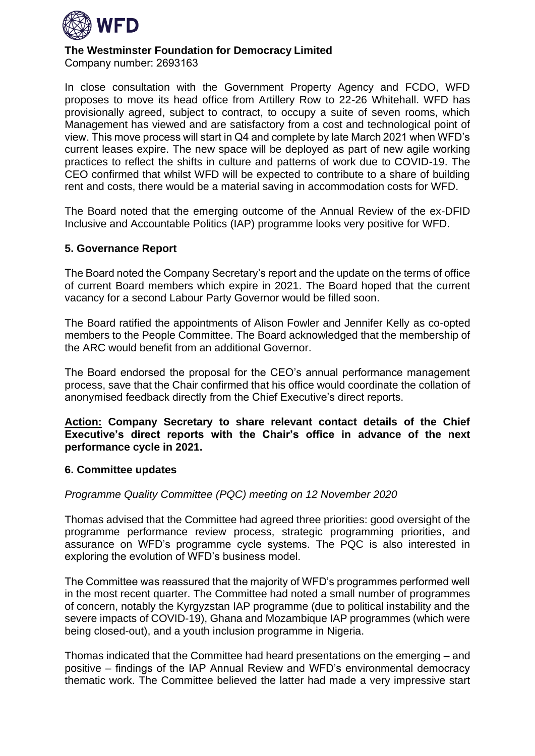

Company number: 2693163 

In close consultation with the Government Property Agency and FCDO, WFD proposes to move its head office from Artillery Row to 22-26 Whitehall. WFD has provisionally agreed, subject to contract, to occupy a suite of seven rooms, which Management has viewed and are satisfactory from a cost and technological point of view. This move process will start in Q4 and complete by late March 2021 when WFD's current leases expire. The new space will be deployed as part of new agile working practices to reflect the shifts in culture and patterns of work due to COVID-19. The CEO confirmed that whilst WFD will be expected to contribute to a share of building rent and costs, there would be a material saving in accommodation costs for WFD.

The Board noted that the emerging outcome of the Annual Review of the ex-DFID Inclusive and Accountable Politics (IAP) programme looks very positive for WFD.

## **5. Governance Report**

The Board noted the Company Secretary's report and the update on the terms of office of current Board members which expire in 2021. The Board hoped that the current vacancy for a second Labour Party Governor would be filled soon.

The Board ratified the appointments of Alison Fowler and Jennifer Kelly as co-opted members to the People Committee. The Board acknowledged that the membership of the ARC would benefit from an additional Governor.

The Board endorsed the proposal for the CEO's annual performance management process, save that the Chair confirmed that his office would coordinate the collation of anonymised feedback directly from the Chief Executive's direct reports.

**Action: Company Secretary to share relevant contact details of the Chief Executive's direct reports with the Chair's office in advance of the next performance cycle in 2021.**

## **6. Committee updates**

## *Programme Quality Committee (PQC) meeting on 12 November 2020*

Thomas advised that the Committee had agreed three priorities: good oversight of the programme performance review process, strategic programming priorities, and assurance on WFD's programme cycle systems. The PQC is also interested in exploring the evolution of WFD's business model.

The Committee was reassured that the majority of WFD's programmes performed well in the most recent quarter. The Committee had noted a small number of programmes of concern, notably the Kyrgyzstan IAP programme (due to political instability and the severe impacts of COVID-19), Ghana and Mozambique IAP programmes (which were being closed-out), and a youth inclusion programme in Nigeria.

Thomas indicated that the Committee had heard presentations on the emerging – and positive – findings of the IAP Annual Review and WFD's environmental democracy thematic work. The Committee believed the latter had made a very impressive start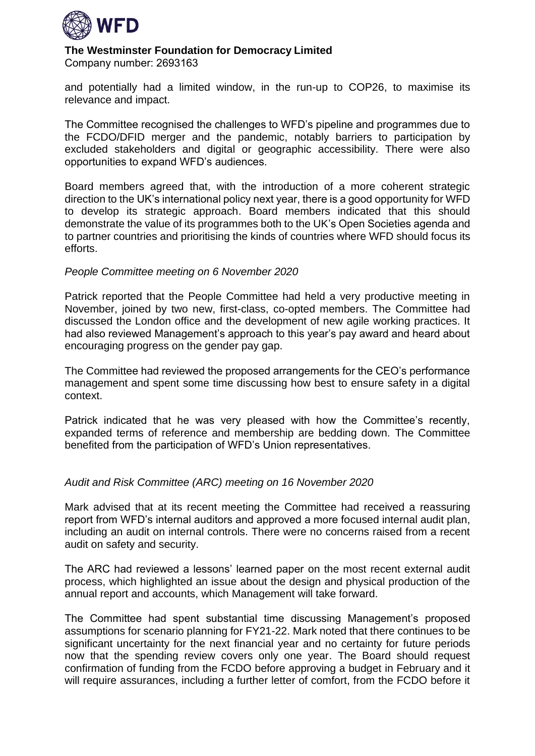

Company number: 2693163 

and potentially had a limited window, in the run-up to COP26, to maximise its relevance and impact.

The Committee recognised the challenges to WFD's pipeline and programmes due to the FCDO/DFID merger and the pandemic, notably barriers to participation by excluded stakeholders and digital or geographic accessibility. There were also opportunities to expand WFD's audiences.

Board members agreed that, with the introduction of a more coherent strategic direction to the UK's international policy next year, there is a good opportunity for WFD to develop its strategic approach. Board members indicated that this should demonstrate the value of its programmes both to the UK's Open Societies agenda and to partner countries and prioritising the kinds of countries where WFD should focus its efforts.

#### *People Committee meeting on 6 November 2020*

Patrick reported that the People Committee had held a very productive meeting in November, joined by two new, first-class, co-opted members. The Committee had discussed the London office and the development of new agile working practices. It had also reviewed Management's approach to this year's pay award and heard about encouraging progress on the gender pay gap.

The Committee had reviewed the proposed arrangements for the CEO's performance management and spent some time discussing how best to ensure safety in a digital context.

Patrick indicated that he was very pleased with how the Committee's recently, expanded terms of reference and membership are bedding down. The Committee benefited from the participation of WFD's Union representatives.

## *Audit and Risk Committee (ARC) meeting on 16 November 2020*

Mark advised that at its recent meeting the Committee had received a reassuring report from WFD's internal auditors and approved a more focused internal audit plan, including an audit on internal controls. There were no concerns raised from a recent audit on safety and security.

The ARC had reviewed a lessons' learned paper on the most recent external audit process, which highlighted an issue about the design and physical production of the annual report and accounts, which Management will take forward.

The Committee had spent substantial time discussing Management's proposed assumptions for scenario planning for FY21-22. Mark noted that there continues to be significant uncertainty for the next financial year and no certainty for future periods now that the spending review covers only one year. The Board should request confirmation of funding from the FCDO before approving a budget in February and it will require assurances, including a further letter of comfort, from the FCDO before it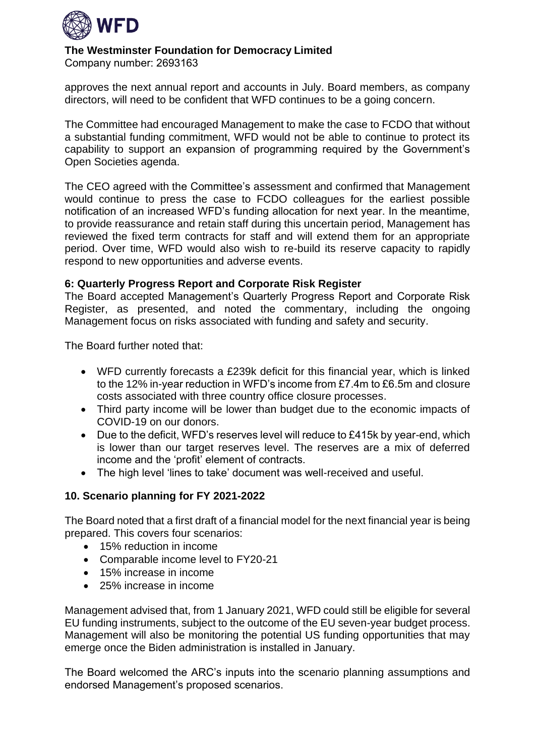

Company number: 2693163 

approves the next annual report and accounts in July. Board members, as company directors, will need to be confident that WFD continues to be a going concern.

The Committee had encouraged Management to make the case to FCDO that without a substantial funding commitment, WFD would not be able to continue to protect its capability to support an expansion of programming required by the Government's Open Societies agenda.

The CEO agreed with the Committee's assessment and confirmed that Management would continue to press the case to FCDO colleagues for the earliest possible notification of an increased WFD's funding allocation for next year. In the meantime, to provide reassurance and retain staff during this uncertain period, Management has reviewed the fixed term contracts for staff and will extend them for an appropriate period. Over time, WFD would also wish to re-build its reserve capacity to rapidly respond to new opportunities and adverse events.

## **6: Quarterly Progress Report and Corporate Risk Register**

The Board accepted Management's Quarterly Progress Report and Corporate Risk Register, as presented, and noted the commentary, including the ongoing Management focus on risks associated with funding and safety and security.

The Board further noted that:

- WFD currently forecasts a £239k deficit for this financial year, which is linked to the 12% in-year reduction in WFD's income from £7.4m to £6.5m and closure costs associated with three country office closure processes.
- Third party income will be lower than budget due to the economic impacts of COVID-19 on our donors.
- Due to the deficit, WFD's reserves level will reduce to £415k by year-end, which is lower than our target reserves level. The reserves are a mix of deferred income and the 'profit' element of contracts.
- The high level 'lines to take' document was well-received and useful.

## **10. Scenario planning for FY 2021-2022**

The Board noted that a first draft of a financial model for the next financial year is being prepared. This covers four scenarios:

- 15% reduction in income
- Comparable income level to FY20-21
- 15% increase in income
- 25% increase in income

Management advised that, from 1 January 2021, WFD could still be eligible for several EU funding instruments, subject to the outcome of the EU seven-year budget process. Management will also be monitoring the potential US funding opportunities that may emerge once the Biden administration is installed in January.

The Board welcomed the ARC's inputs into the scenario planning assumptions and endorsed Management's proposed scenarios.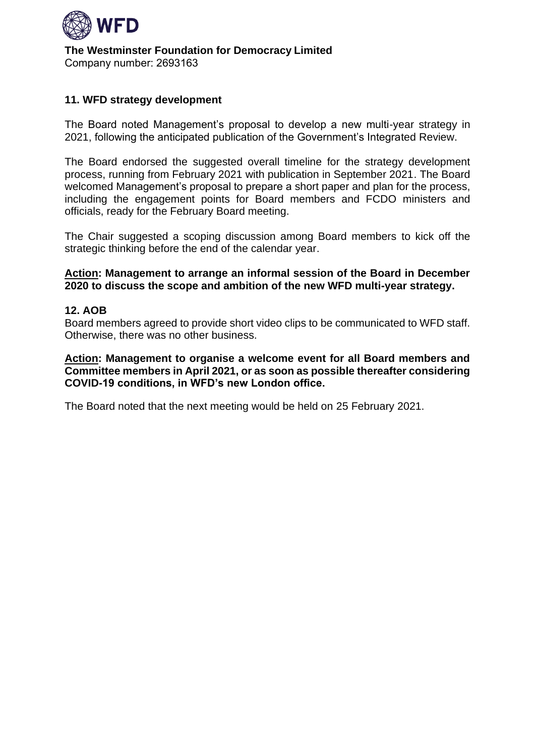

**The Westminster Foundation for Democracy Limited** Company number: 2693163 

## **11. WFD strategy development**

The Board noted Management's proposal to develop a new multi-year strategy in 2021, following the anticipated publication of the Government's Integrated Review.

The Board endorsed the suggested overall timeline for the strategy development process, running from February 2021 with publication in September 2021. The Board welcomed Management's proposal to prepare a short paper and plan for the process, including the engagement points for Board members and FCDO ministers and officials, ready for the February Board meeting.

The Chair suggested a scoping discussion among Board members to kick off the strategic thinking before the end of the calendar year.

#### **Action: Management to arrange an informal session of the Board in December 2020 to discuss the scope and ambition of the new WFD multi-year strategy.**

## **12. AOB**

Board members agreed to provide short video clips to be communicated to WFD staff. Otherwise, there was no other business.

**Action: Management to organise a welcome event for all Board members and Committee members in April 2021, or as soon as possible thereafter considering COVID-19 conditions, in WFD's new London office.** 

The Board noted that the next meeting would be held on 25 February 2021.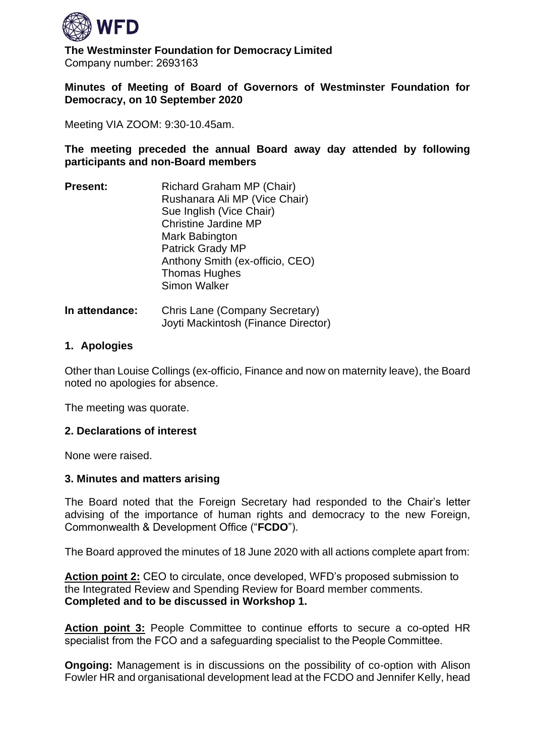

**The Westminster Foundation for Democracy Limited** Company number: 2693163 

## **Minutes of Meeting of Board of Governors of Westminster Foundation for Democracy, on 10 September 2020**

Meeting VIA ZOOM: 9:30-10.45am.

**The meeting preceded the annual Board away day attended by following participants and non-Board members**

- **Present:**      Richard Graham MP (Chair) Rushanara Ali MP (Vice Chair) Sue Inglish (Vice Chair) Christine Jardine MP Mark Babington Patrick Grady MP Anthony Smith (ex-officio, CEO) Thomas Hughes Simon Walker
- **In attendance:** Chris Lane (Company Secretary) Joyti Mackintosh (Finance Director)

## **1. Apologies**

Other than Louise Collings (ex-officio, Finance and now on maternity leave), the Board noted no apologies for absence.

The meeting was quorate.

## **2. Declarations of interest**

None were raised.

#### **3. Minutes and matters arising**

The Board noted that the Foreign Secretary had responded to the Chair's letter advising of the importance of human rights and democracy to the new Foreign, Commonwealth & Development Office ("**FCDO**").

The Board approved the minutes of 18 June 2020 with all actions complete apart from:

**Action point 2:** CEO to circulate, once developed, WFD's proposed submission to the Integrated Review and Spending Review for Board member comments. **Completed and to be discussed in Workshop 1.**

**Action point 3:** People Committee to continue efforts to secure a co-opted HR specialist from the FCO and a safeguarding specialist to the People Committee. 

**Ongoing:** Management is in discussions on the possibility of co-option with Alison Fowler HR and organisational development lead at the FCDO and Jennifer Kelly, head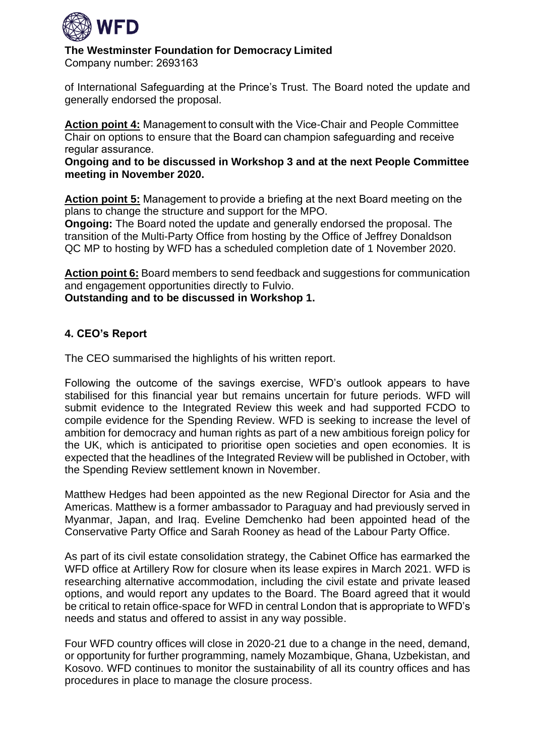

Company number: 2693163 

of International Safeguarding at the Prince's Trust. The Board noted the update and generally endorsed the proposal.

**Action point 4:** Management to consult with the Vice-Chair and People Committee Chair on options to ensure that the Board can champion safeguarding and receive regular assurance. 

**Ongoing and to be discussed in Workshop 3 and at the next People Committee meeting in November 2020.**

**Action point 5:** Management to provide a briefing at the next Board meeting on the plans to change the structure and support for the MPO.

**Ongoing:** The Board noted the update and generally endorsed the proposal. The transition of the Multi-Party Office from hosting by the Office of Jeffrey Donaldson QC MP to hosting by WFD has a scheduled completion date of 1 November 2020.

**Action point 6:** Board members to send feedback and suggestions for communication and engagement opportunities directly to Fulvio.

**Outstanding and to be discussed in Workshop 1.**

## **4. CEO's Report**

The CEO summarised the highlights of his written report.

Following the outcome of the savings exercise, WFD's outlook appears to have stabilised for this financial year but remains uncertain for future periods. WFD will submit evidence to the Integrated Review this week and had supported FCDO to compile evidence for the Spending Review. WFD is seeking to increase the level of ambition for democracy and human rights as part of a new ambitious foreign policy for the UK, which is anticipated to prioritise open societies and open economies. It is expected that the headlines of the Integrated Review will be published in October, with the Spending Review settlement known in November.

Matthew Hedges had been appointed as the new Regional Director for Asia and the Americas. Matthew is a former ambassador to Paraguay and had previously served in Myanmar, Japan, and Iraq. Eveline Demchenko had been appointed head of the Conservative Party Office and Sarah Rooney as head of the Labour Party Office.

As part of its civil estate consolidation strategy, the Cabinet Office has earmarked the WFD office at Artillery Row for closure when its lease expires in March 2021. WFD is researching alternative accommodation, including the civil estate and private leased options, and would report any updates to the Board. The Board agreed that it would be critical to retain office-space for WFD in central London that is appropriate to WFD's needs and status and offered to assist in any way possible.

Four WFD country offices will close in 2020-21 due to a change in the need, demand, or opportunity for further programming, namely Mozambique, Ghana, Uzbekistan, and Kosovo. WFD continues to monitor the sustainability of all its country offices and has procedures in place to manage the closure process.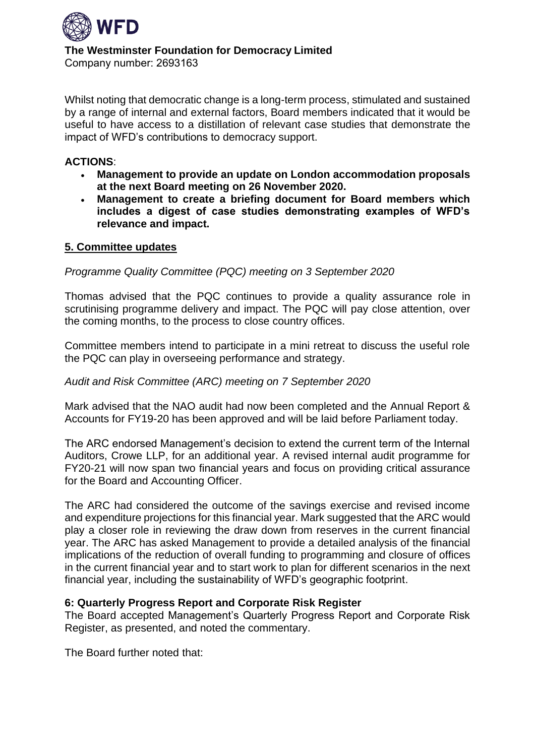

Whilst noting that democratic change is a long-term process, stimulated and sustained by a range of internal and external factors, Board members indicated that it would be useful to have access to a distillation of relevant case studies that demonstrate the impact of WFD's contributions to democracy support.

## **ACTIONS**:

- **Management to provide an update on London accommodation proposals at the next Board meeting on 26 November 2020.**
- **Management to create a briefing document for Board members which includes a digest of case studies demonstrating examples of WFD's relevance and impact.**

## **5. Committee updates**

## *Programme Quality Committee (PQC) meeting on 3 September 2020*

Thomas advised that the PQC continues to provide a quality assurance role in scrutinising programme delivery and impact. The PQC will pay close attention, over the coming months, to the process to close country offices.

Committee members intend to participate in a mini retreat to discuss the useful role the PQC can play in overseeing performance and strategy.

## *Audit and Risk Committee (ARC) meeting on 7 September 2020*

Mark advised that the NAO audit had now been completed and the Annual Report & Accounts for FY19-20 has been approved and will be laid before Parliament today.

The ARC endorsed Management's decision to extend the current term of the Internal Auditors, Crowe LLP, for an additional year. A revised internal audit programme for FY20-21 will now span two financial years and focus on providing critical assurance for the Board and Accounting Officer.

The ARC had considered the outcome of the savings exercise and revised income and expenditure projections for this financial year. Mark suggested that the ARC would play a closer role in reviewing the draw down from reserves in the current financial year. The ARC has asked Management to provide a detailed analysis of the financial implications of the reduction of overall funding to programming and closure of offices in the current financial year and to start work to plan for different scenarios in the next financial year, including the sustainability of WFD's geographic footprint.

## **6: Quarterly Progress Report and Corporate Risk Register**

The Board accepted Management's Quarterly Progress Report and Corporate Risk Register, as presented, and noted the commentary.

The Board further noted that: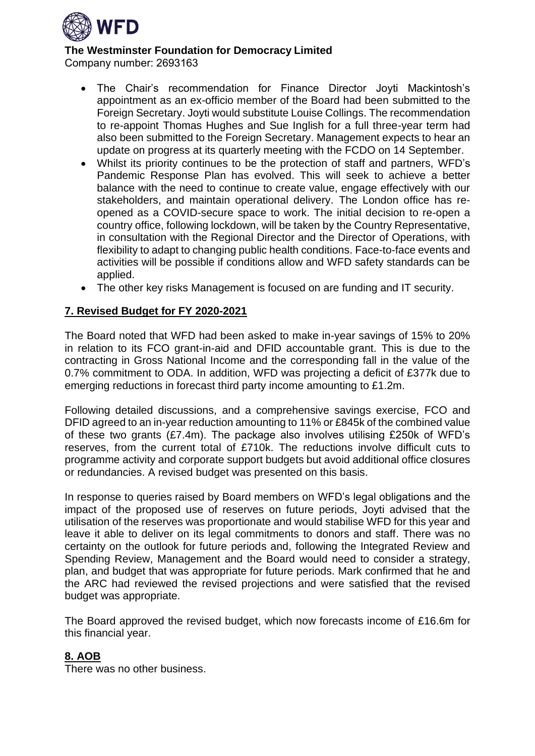

Company number: 2693163 

- The Chair's recommendation for Finance Director Joyti Mackintosh's appointment as an ex-officio member of the Board had been submitted to the Foreign Secretary. Joyti would substitute Louise Collings. The recommendation to re-appoint Thomas Hughes and Sue Inglish for a full three-year term had also been submitted to the Foreign Secretary. Management expects to hear an update on progress at its quarterly meeting with the FCDO on 14 September.
- Whilst its priority continues to be the protection of staff and partners, WFD's Pandemic Response Plan has evolved. This will seek to achieve a better balance with the need to continue to create value, engage effectively with our stakeholders, and maintain operational delivery. The London office has reopened as a COVID-secure space to work. The initial decision to re-open a country office, following lockdown, will be taken by the Country Representative, in consultation with the Regional Director and the Director of Operations, with flexibility to adapt to changing public health conditions. Face-to-face events and activities will be possible if conditions allow and WFD safety standards can be applied.
- The other key risks Management is focused on are funding and IT security.

## **7. Revised Budget for FY 2020-2021**

The Board noted that WFD had been asked to make in-year savings of 15% to 20% in relation to its FCO grant-in-aid and DFID accountable grant. This is due to the contracting in Gross National Income and the corresponding fall in the value of the 0.7% commitment to ODA. In addition, WFD was projecting a deficit of £377k due to emerging reductions in forecast third party income amounting to £1.2m.

Following detailed discussions, and a comprehensive savings exercise, FCO and DFID agreed to an in-year reduction amounting to 11% or £845k of the combined value of these two grants  $(E7.4m)$ . The package also involves utilising £250k of WFD's reserves, from the current total of £710k. The reductions involve difficult cuts to programme activity and corporate support budgets but avoid additional office closures or redundancies. A revised budget was presented on this basis.

In response to queries raised by Board members on WFD's legal obligations and the impact of the proposed use of reserves on future periods, Joyti advised that the utilisation of the reserves was proportionate and would stabilise WFD for this year and leave it able to deliver on its legal commitments to donors and staff. There was no certainty on the outlook for future periods and, following the Integrated Review and Spending Review, Management and the Board would need to consider a strategy, plan, and budget that was appropriate for future periods. Mark confirmed that he and the ARC had reviewed the revised projections and were satisfied that the revised budget was appropriate.

The Board approved the revised budget, which now forecasts income of £16.6m for this financial year.

## **8. AOB**

There was no other business.